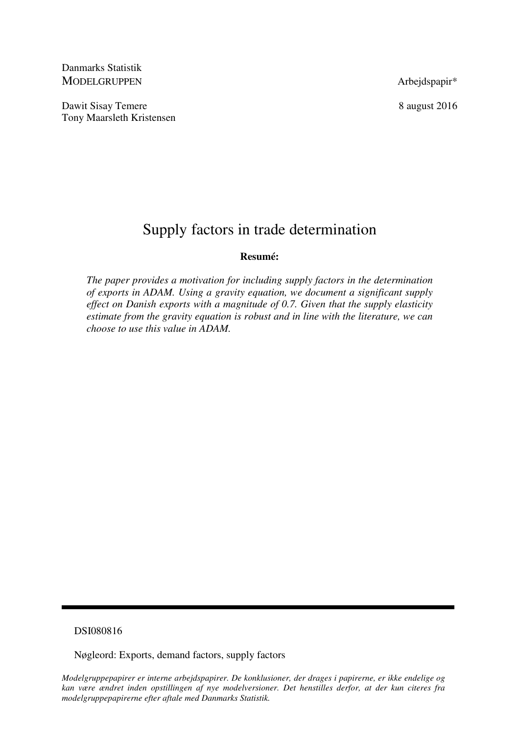Danmarks Statistik MODELGRUPPEN Arbeidspapir\*

Dawit Sisay Temere 8 august 2016 Tony Maarsleth Kristensen

# Supply factors in trade determination

## **Resumé:**

*The paper provides a motivation for including supply factors in the determination of exports in ADAM. Using a gravity equation, we document a significant supply effect on Danish exports with a magnitude of 0.7. Given that the supply elasticity estimate from the gravity equation is robust and in line with the literature, we can choose to use this value in ADAM.* 

## DSI080816

Nøgleord: Exports, demand factors, supply factors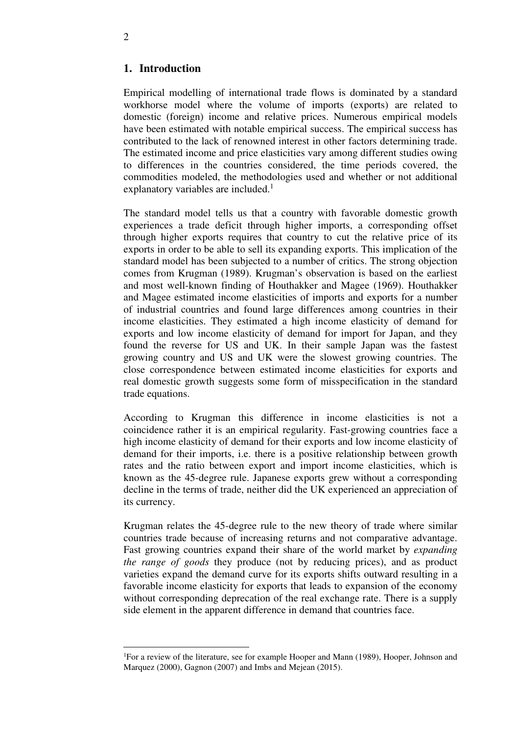## **1. Introduction**

Empirical modelling of international trade flows is dominated by a standard workhorse model where the volume of imports (exports) are related to domestic (foreign) income and relative prices. Numerous empirical models have been estimated with notable empirical success. The empirical success has contributed to the lack of renowned interest in other factors determining trade. The estimated income and price elasticities vary among different studies owing to differences in the countries considered, the time periods covered, the commodities modeled, the methodologies used and whether or not additional explanatory variables are included. $<sup>1</sup>$ </sup>

The standard model tells us that a country with favorable domestic growth experiences a trade deficit through higher imports, a corresponding offset through higher exports requires that country to cut the relative price of its exports in order to be able to sell its expanding exports. This implication of the standard model has been subjected to a number of critics. The strong objection comes from Krugman (1989). Krugman's observation is based on the earliest and most well-known finding of Houthakker and Magee (1969). Houthakker and Magee estimated income elasticities of imports and exports for a number of industrial countries and found large differences among countries in their income elasticities. They estimated a high income elasticity of demand for exports and low income elasticity of demand for import for Japan, and they found the reverse for US and UK. In their sample Japan was the fastest growing country and US and UK were the slowest growing countries. The close correspondence between estimated income elasticities for exports and real domestic growth suggests some form of misspecification in the standard trade equations.

According to Krugman this difference in income elasticities is not a coincidence rather it is an empirical regularity. Fast-growing countries face a high income elasticity of demand for their exports and low income elasticity of demand for their imports, i.e. there is a positive relationship between growth rates and the ratio between export and import income elasticities, which is known as the 45-degree rule. Japanese exports grew without a corresponding decline in the terms of trade, neither did the UK experienced an appreciation of its currency.

Krugman relates the 45-degree rule to the new theory of trade where similar countries trade because of increasing returns and not comparative advantage. Fast growing countries expand their share of the world market by *expanding the range of goods* they produce (not by reducing prices), and as product varieties expand the demand curve for its exports shifts outward resulting in a favorable income elasticity for exports that leads to expansion of the economy without corresponding deprecation of the real exchange rate. There is a supply side element in the apparent difference in demand that countries face.

 $\overline{a}$ 

<sup>1</sup>For a review of the literature, see for example Hooper and Mann (1989), Hooper, Johnson and Marquez (2000), Gagnon (2007) and Imbs and Mejean (2015).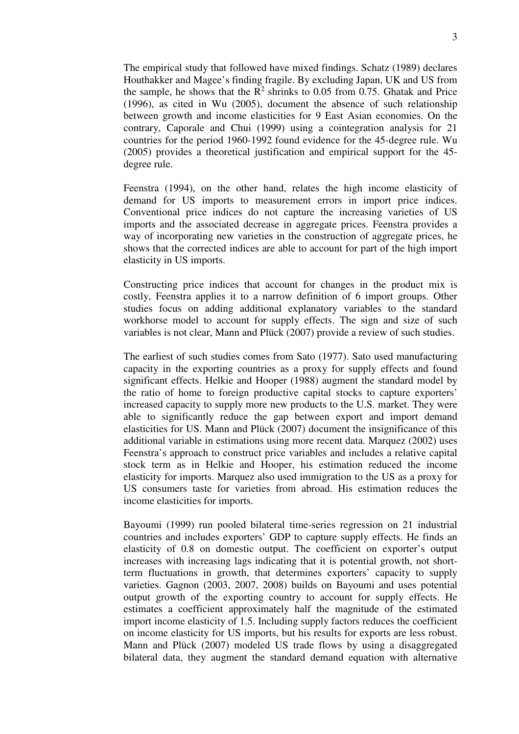The empirical study that followed have mixed findings. Schatz (1989) declares Houthakker and Magee's finding fragile. By excluding Japan, UK and US from the sample, he shows that the  $R^2$  shrinks to 0.05 from 0.75. Ghatak and Price (1996), as cited in Wu (2005), document the absence of such relationship between growth and income elasticities for 9 East Asian economies. On the contrary, Caporale and Chui (1999) using a cointegration analysis for 21 countries for the period 1960-1992 found evidence for the 45-degree rule. Wu (2005) provides a theoretical justification and empirical support for the 45 degree rule.

Feenstra (1994), on the other hand, relates the high income elasticity of demand for US imports to measurement errors in import price indices. Conventional price indices do not capture the increasing varieties of US imports and the associated decrease in aggregate prices. Feenstra provides a way of incorporating new varieties in the construction of aggregate prices, he shows that the corrected indices are able to account for part of the high import elasticity in US imports.

Constructing price indices that account for changes in the product mix is costly, Feenstra applies it to a narrow definition of 6 import groups. Other studies focus on adding additional explanatory variables to the standard workhorse model to account for supply effects. The sign and size of such variables is not clear, Mann and Plück (2007) provide a review of such studies.

The earliest of such studies comes from Sato (1977). Sato used manufacturing capacity in the exporting countries as a proxy for supply effects and found significant effects. Helkie and Hooper (1988) augment the standard model by the ratio of home to foreign productive capital stocks to capture exporters' increased capacity to supply more new products to the U.S. market. They were able to significantly reduce the gap between export and import demand elasticities for US. Mann and Plück (2007) document the insignificance of this additional variable in estimations using more recent data. Marquez (2002) uses Feenstra's approach to construct price variables and includes a relative capital stock term as in Helkie and Hooper, his estimation reduced the income elasticity for imports. Marquez also used immigration to the US as a proxy for US consumers taste for varieties from abroad. His estimation reduces the income elasticities for imports.

Bayoumi (1999) run pooled bilateral time-series regression on 21 industrial countries and includes exporters' GDP to capture supply effects. He finds an elasticity of 0.8 on domestic output. The coefficient on exporter's output increases with increasing lags indicating that it is potential growth, not shortterm fluctuations in growth, that determines exporters' capacity to supply varieties. Gagnon (2003, 2007, 2008) builds on Bayoumi and uses potential output growth of the exporting country to account for supply effects. He estimates a coefficient approximately half the magnitude of the estimated import income elasticity of 1.5. Including supply factors reduces the coefficient on income elasticity for US imports, but his results for exports are less robust. Mann and Plück (2007) modeled US trade flows by using a disaggregated bilateral data, they augment the standard demand equation with alternative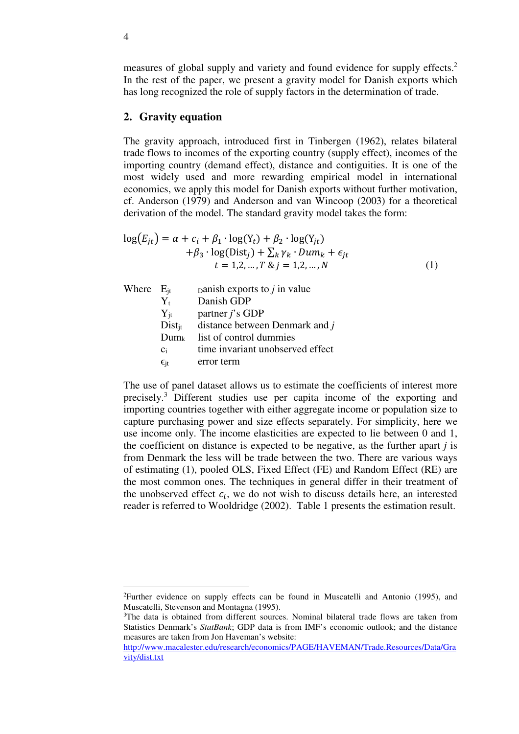measures of global supply and variety and found evidence for supply effects.<sup>2</sup> In the rest of the paper, we present a gravity model for Danish exports which has long recognized the role of supply factors in the determination of trade.

#### **2. Gravity equation**

The gravity approach, introduced first in Tinbergen (1962), relates bilateral trade flows to incomes of the exporting country (supply effect), incomes of the importing country (demand effect), distance and contiguities. It is one of the most widely used and more rewarding empirical model in international economics, we apply this model for Danish exports without further motivation, cf. Anderson (1979) and Anderson and van Wincoop (2003) for a theoretical derivation of the model. The standard gravity model takes the form:

$$
log(E_{jt}) = \alpha + c_i + \beta_1 \cdot log(Y_t) + \beta_2 \cdot log(Y_{jt})
$$
  
+  $\beta_3 \cdot log(Dist_j) + \sum_k \gamma_k \cdot Dum_k + \epsilon_{jt}$   
 $t = 1, 2, ..., T \& j = 1, 2, ..., N$  (1)

| Where $E_{it}$ |                 | panish exports to $j$ in value             |
|----------------|-----------------|--------------------------------------------|
|                | $Y_{t}$         | Danish GDP                                 |
|                | $Y_{it}$        | partner $j$ 's GDP                         |
|                |                 | $Dist_{it}$ distance between Denmark and j |
|                | $Dum_k$         | list of control dummies                    |
|                | $C_i$           | time invariant unobserved effect           |
|                | $\epsilon_{it}$ | error term                                 |

The use of panel dataset allows us to estimate the coefficients of interest more precisely.<sup>3</sup> Different studies use per capita income of the exporting and importing countries together with either aggregate income or population size to capture purchasing power and size effects separately. For simplicity, here we use income only. The income elasticities are expected to lie between 0 and 1, the coefficient on distance is expected to be negative, as the further apart *j* is from Denmark the less will be trade between the two. There are various ways of estimating (1), pooled OLS, Fixed Effect (FE) and Random Effect (RE) are the most common ones. The techniques in general differ in their treatment of the unobserved effect  $c_i$ , we do not wish to discuss details here, an interested reader is referred to Wooldridge (2002). Table 1 presents the estimation result.

<u>.</u>

<sup>2</sup>Further evidence on supply effects can be found in Muscatelli and Antonio (1995), and Muscatelli, Stevenson and Montagna (1995).

<sup>3</sup>The data is obtained from different sources. Nominal bilateral trade flows are taken from Statistics Denmark's *StatBank*; GDP data is from IMF's economic outlook; and the distance measures are taken from Jon Haveman's website:

http://www.macalester.edu/research/economics/PAGE/HAVEMAN/Trade.Resources/Data/Gra vity/dist.txt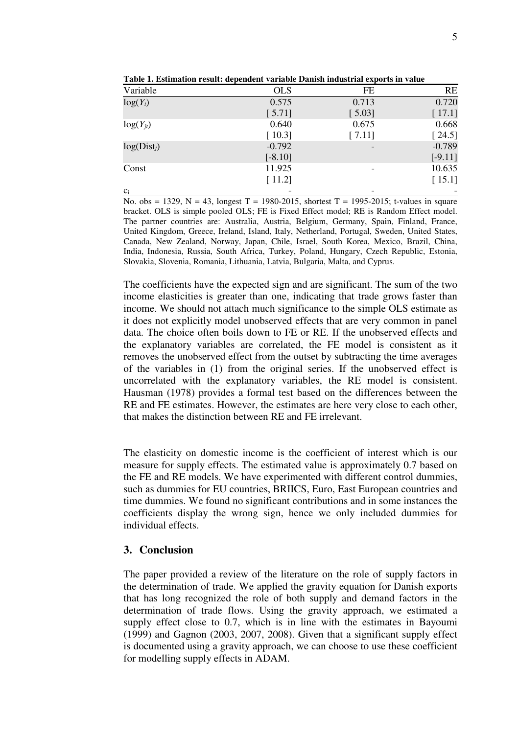| Variable      | <b>OLS</b> | <b>FE</b> | <b>RE</b> |
|---------------|------------|-----------|-----------|
| $log(Y_t)$    | 0.575      | 0.713     | 0.720     |
|               | [5.71]     | [5.03]    | [17.1]    |
| $log(Y_{jt})$ | 0.640      | 0.675     | 0.668     |
|               | [10.3]     | [7.11]    | [24.5]    |
| $log(Dist_i)$ | $-0.792$   |           | $-0.789$  |
|               | $[-8.10]$  |           | $[-9.11]$ |
| Const         | 11.925     |           | 10.635    |
|               | [11.2]     |           | [15.1]    |
| $c_i$         |            |           |           |

**Table 1. Estimation result: dependent variable Danish industrial exports in value** 

No. obs = 1329, N = 43, longest T = 1980-2015, shortest T = 1995-2015; t-values in square bracket. OLS is simple pooled OLS; FE is Fixed Effect model; RE is Random Effect model. The partner countries are: Australia, Austria, Belgium, Germany, Spain, Finland, France, United Kingdom, Greece, Ireland, Island, Italy, Netherland, Portugal, Sweden, United States, Canada, New Zealand, Norway, Japan, Chile, Israel, South Korea, Mexico, Brazil, China, India, Indonesia, Russia, South Africa, Turkey, Poland, Hungary, Czech Republic, Estonia, Slovakia, Slovenia, Romania, Lithuania, Latvia, Bulgaria, Malta, and Cyprus.

The coefficients have the expected sign and are significant. The sum of the two income elasticities is greater than one, indicating that trade grows faster than income. We should not attach much significance to the simple OLS estimate as it does not explicitly model unobserved effects that are very common in panel data. The choice often boils down to FE or RE. If the unobserved effects and the explanatory variables are correlated, the FE model is consistent as it removes the unobserved effect from the outset by subtracting the time averages of the variables in (1) from the original series. If the unobserved effect is uncorrelated with the explanatory variables, the RE model is consistent. Hausman (1978) provides a formal test based on the differences between the RE and FE estimates. However, the estimates are here very close to each other, that makes the distinction between RE and FE irrelevant.

The elasticity on domestic income is the coefficient of interest which is our measure for supply effects. The estimated value is approximately 0.7 based on the FE and RE models. We have experimented with different control dummies, such as dummies for EU countries, BRIICS, Euro, East European countries and time dummies. We found no significant contributions and in some instances the coefficients display the wrong sign, hence we only included dummies for individual effects.

### **3. Conclusion**

The paper provided a review of the literature on the role of supply factors in the determination of trade. We applied the gravity equation for Danish exports that has long recognized the role of both supply and demand factors in the determination of trade flows. Using the gravity approach, we estimated a supply effect close to 0.7, which is in line with the estimates in Bayoumi (1999) and Gagnon (2003, 2007, 2008). Given that a significant supply effect is documented using a gravity approach, we can choose to use these coefficient for modelling supply effects in ADAM.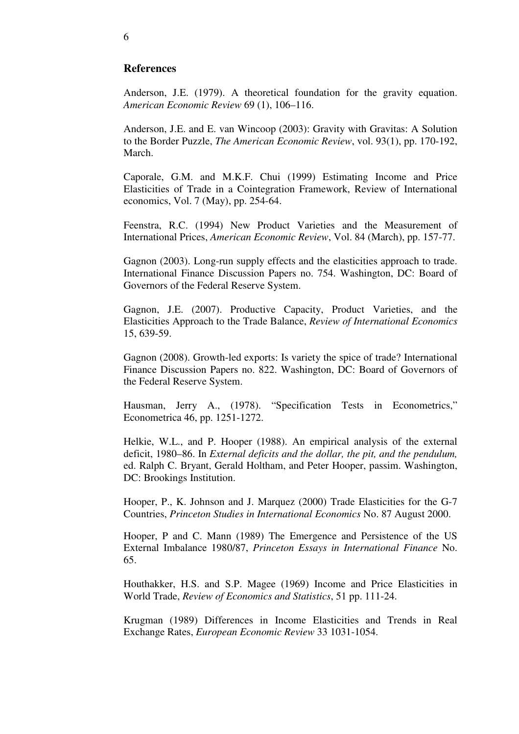## **References**

Anderson, J.E. (1979). A theoretical foundation for the gravity equation. *American Economic Review* 69 (1), 106–116.

Anderson, J.E. and E. van Wincoop (2003): Gravity with Gravitas: A Solution to the Border Puzzle, *The American Economic Review*, vol. 93(1), pp. 170-192, March.

Caporale, G.M. and M.K.F. Chui (1999) Estimating Income and Price Elasticities of Trade in a Cointegration Framework, Review of International economics, Vol. 7 (May), pp. 254-64.

Feenstra, R.C. (1994) New Product Varieties and the Measurement of International Prices, *American Economic Review*, Vol. 84 (March), pp. 157-77.

Gagnon (2003). Long-run supply effects and the elasticities approach to trade. International Finance Discussion Papers no. 754. Washington, DC: Board of Governors of the Federal Reserve System.

Gagnon, J.E. (2007). Productive Capacity, Product Varieties, and the Elasticities Approach to the Trade Balance, *Review of International Economics* 15, 639-59.

Gagnon (2008). Growth-led exports: Is variety the spice of trade? International Finance Discussion Papers no. 822. Washington, DC: Board of Governors of the Federal Reserve System.

Hausman, Jerry A., (1978). "Specification Tests in Econometrics," Econometrica 46, pp. 1251-1272.

Helkie, W.L., and P. Hooper (1988). An empirical analysis of the external deficit, 1980–86. In *External deficits and the dollar, the pit, and the pendulum,*  ed. Ralph C. Bryant, Gerald Holtham, and Peter Hooper, passim. Washington, DC: Brookings Institution.

Hooper, P., K. Johnson and J. Marquez (2000) Trade Elasticities for the G-7 Countries, *Princeton Studies in International Economics* No. 87 August 2000.

Hooper, P and C. Mann (1989) The Emergence and Persistence of the US External Imbalance 1980/87, *Princeton Essays in International Finance* No. 65.

Houthakker, H.S. and S.P. Magee (1969) Income and Price Elasticities in World Trade, *Review of Economics and Statistics*, 51 pp. 111-24.

Krugman (1989) Differences in Income Elasticities and Trends in Real Exchange Rates, *European Economic Review* 33 1031-1054.